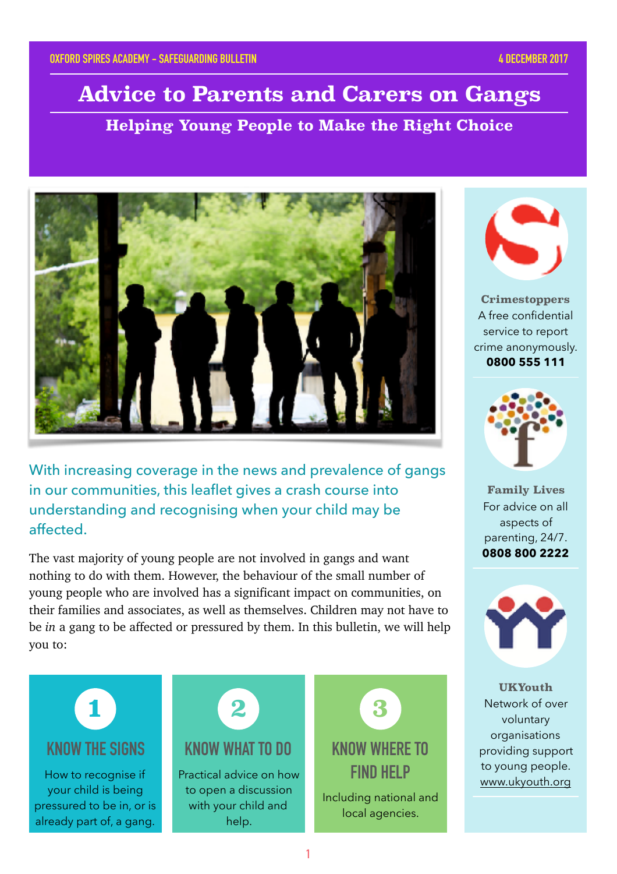# **Advice to Parents and Carers on Gangs**

**Helping Young People to Make the Right Choice**



With increasing coverage in the news and prevalence of gangs in our communities, this leaflet gives a crash course into understanding and recognising when your child may be affected.

The vast majority of young people are not involved in gangs and want nothing to do with them. However, the behaviour of the small number of young people who are involved has a significant impact on communities, on their families and associates, as well as themselves. Children may not have to be *in* a gang to be affected or pressured by them. In this bulletin, we will help you to:





**Crimestoppers** A free confidential service to report crime anonymously. **0800 555 111**



**Family Lives** For advice on all aspects of parenting, 24/7. **0808 800 2222**



**UKYouth** Network of over voluntary organisations providing support to young people. [www.ukyouth.org](http://www.ukyouth.org)